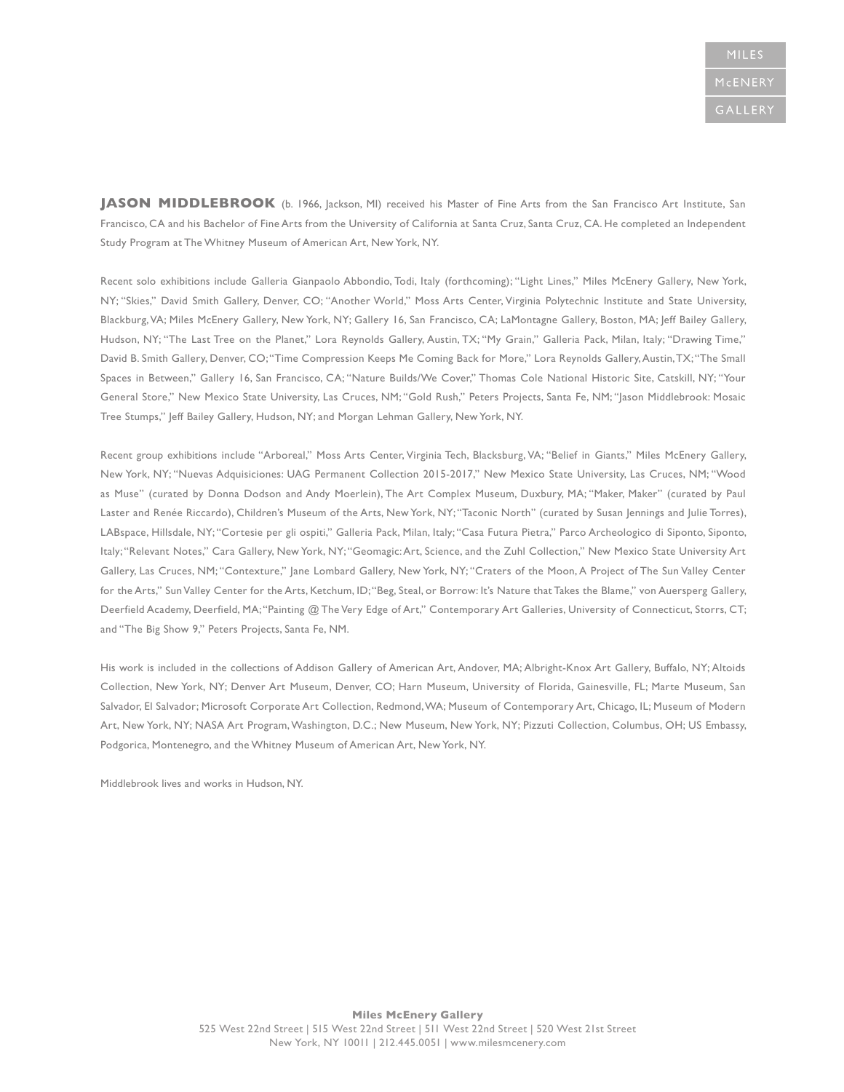**JASON MIDDLEBROOK** (b. 1966, Jackson, MI) received his Master of Fine Arts from the San Francisco Art Institute, San Francisco, CA and his Bachelor of Fine Arts from the University of California at Santa Cruz, Santa Cruz, CA. He completed an Independent Study Program at The Whitney Museum of American Art, New York, NY.

Recent solo exhibitions include Galleria Gianpaolo Abbondio, Todi, Italy (forthcoming); "Light Lines," Miles McEnery Gallery, New York, NY; "Skies," David Smith Gallery, Denver, CO; "Another World," Moss Arts Center, Virginia Polytechnic Institute and State University, Blackburg, VA; Miles McEnery Gallery, New York, NY; Gallery 16, San Francisco, CA; LaMontagne Gallery, Boston, MA; Jeff Bailey Gallery, Hudson, NY; "The Last Tree on the Planet," Lora Reynolds Gallery, Austin, TX; "My Grain," Galleria Pack, Milan, Italy; "Drawing Time," David B. Smith Gallery, Denver, CO; "Time Compression Keeps Me Coming Back for More," Lora Reynolds Gallery, Austin, TX; "The Small Spaces in Between," Gallery 16, San Francisco, CA; "Nature Builds/We Cover," Thomas Cole National Historic Site, Catskill, NY; "Your General Store," New Mexico State University, Las Cruces, NM; "Gold Rush," Peters Projects, Santa Fe, NM; "Jason Middlebrook: Mosaic Tree Stumps," Jeff Bailey Gallery, Hudson, NY; and Morgan Lehman Gallery, New York, NY.

Recent group exhibitions include "Arboreal," Moss Arts Center, Virginia Tech, Blacksburg, VA; "Belief in Giants," Miles McEnery Gallery, New York, NY; "Nuevas Adquisiciones: UAG Permanent Collection 2015-2017," New Mexico State University, Las Cruces, NM; "Wood as Muse" (curated by Donna Dodson and Andy Moerlein), The Art Complex Museum, Duxbury, MA; "Maker, Maker" (curated by Paul Laster and Renée Riccardo), Children's Museum of the Arts, New York, NY; "Taconic North" (curated by Susan Jennings and Julie Torres), LABspace, Hillsdale, NY; "Cortesie per gli ospiti," Galleria Pack, Milan, Italy; "Casa Futura Pietra," Parco Archeologico di Siponto, Siponto, Italy; "Relevant Notes," Cara Gallery, New York, NY; "Geomagic: Art, Science, and the Zuhl Collection," New Mexico State University Art Gallery, Las Cruces, NM; "Contexture," Jane Lombard Gallery, New York, NY; "Craters of the Moon, A Project of The Sun Valley Center for the Arts," Sun Valley Center for the Arts, Ketchum, ID; "Beg, Steal, or Borrow: It's Nature that Takes the Blame," von Auersperg Gallery, Deerfield Academy, Deerfield, MA; "Painting @ The Very Edge of Art," Contemporary Art Galleries, University of Connecticut, Storrs, CT; and "The Big Show 9," Peters Projects, Santa Fe, NM.

His work is included in the collections of Addison Gallery of American Art, Andover, MA; Albright-Knox Art Gallery, Buffalo, NY; Altoids Collection, New York, NY; Denver Art Museum, Denver, CO; Harn Museum, University of Florida, Gainesville, FL; Marte Museum, San Salvador, El Salvador; Microsoft Corporate Art Collection, Redmond, WA; Museum of Contemporary Art, Chicago, IL; Museum of Modern Art, New York, NY; NASA Art Program, Washington, D.C.; New Museum, New York, NY; Pizzuti Collection, Columbus, OH; US Embassy, Podgorica, Montenegro, and the Whitney Museum of American Art, New York, NY.

Middlebrook lives and works in Hudson, NY.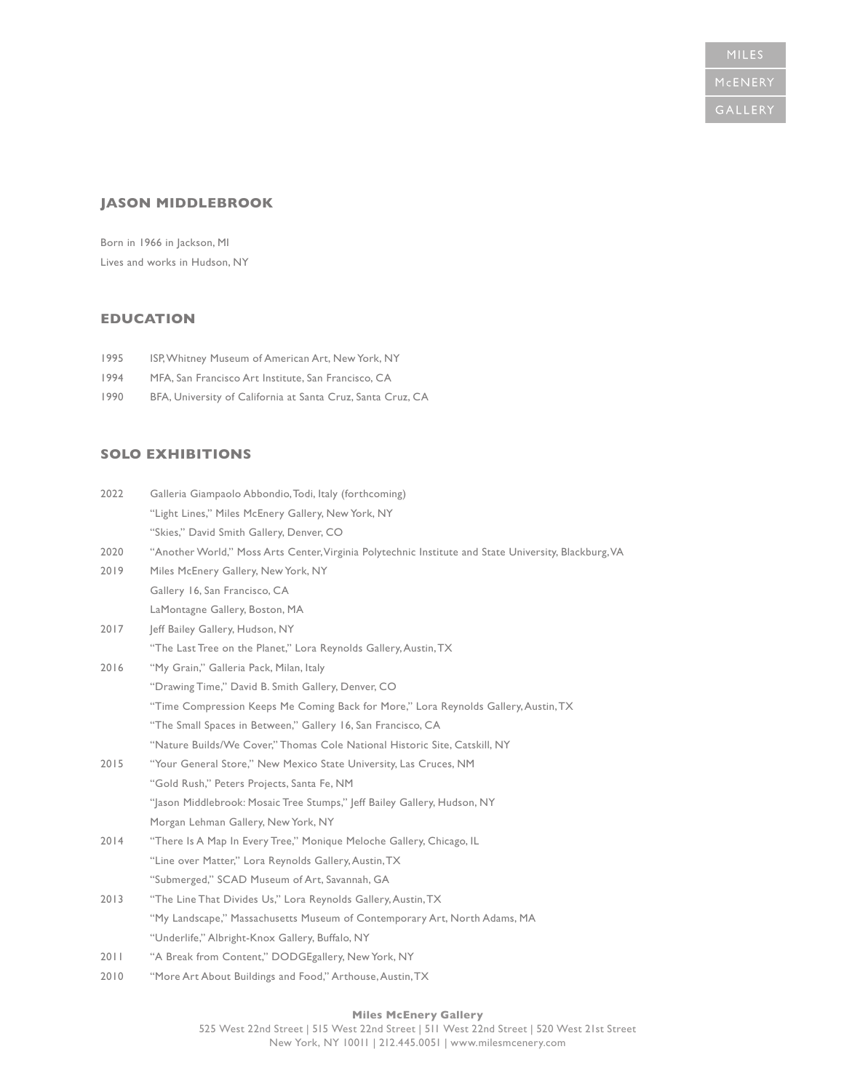## **JASON MIDDLEBROOK**

Born in 1966 in Jackson, MI Lives and works in Hudson, NY

# **EDUCATION**

- 1995 ISP, Whitney Museum of American Art, New York, NY
- 1994 MFA, San Francisco Art Institute, San Francisco, CA
- 1990 BFA, University of California at Santa Cruz, Santa Cruz, CA

## **SOLO EXHIBITIONS**

| 2022 | Galleria Giampaolo Abbondio, Todi, Italy (forthcoming)                                                |
|------|-------------------------------------------------------------------------------------------------------|
|      | "Light Lines," Miles McEnery Gallery, New York, NY                                                    |
|      | "Skies," David Smith Gallery, Denver, CO                                                              |
| 2020 | "Another World," Moss Arts Center, Virginia Polytechnic Institute and State University, Blackburg, VA |
| 2019 | Miles McEnery Gallery, New York, NY                                                                   |
|      | Gallery 16, San Francisco, CA                                                                         |
|      | LaMontagne Gallery, Boston, MA                                                                        |
| 2017 | Jeff Bailey Gallery, Hudson, NY                                                                       |
|      | "The Last Tree on the Planet," Lora Reynolds Gallery, Austin, TX                                      |
| 2016 | "My Grain," Galleria Pack, Milan, Italy                                                               |
|      | "Drawing Time," David B. Smith Gallery, Denver, CO                                                    |
|      | "Time Compression Keeps Me Coming Back for More," Lora Reynolds Gallery, Austin, TX                   |
|      | "The Small Spaces in Between," Gallery 16, San Francisco, CA                                          |
|      | "Nature Builds/We Cover," Thomas Cole National Historic Site, Catskill, NY                            |
| 2015 | "Your General Store," New Mexico State University, Las Cruces, NM                                     |
|      | "Gold Rush," Peters Projects, Santa Fe, NM                                                            |
|      | "Jason Middlebrook: Mosaic Tree Stumps," Jeff Bailey Gallery, Hudson, NY                              |
|      | Morgan Lehman Gallery, New York, NY                                                                   |
| 2014 | "There Is A Map In Every Tree," Monique Meloche Gallery, Chicago, IL                                  |
|      | "Line over Matter," Lora Reynolds Gallery, Austin, TX                                                 |
|      | "Submerged," SCAD Museum of Art, Savannah, GA                                                         |
| 2013 | "The Line That Divides Us," Lora Reynolds Gallery, Austin, TX                                         |
|      | "My Landscape," Massachusetts Museum of Contemporary Art, North Adams, MA                             |
|      | "Underlife," Albright-Knox Gallery, Buffalo, NY                                                       |
| 2011 | "A Break from Content," DODGEgallery, New York, NY                                                    |
| 2010 | "More Art About Buildings and Food," Arthouse, Austin, TX                                             |

### **Miles McEnery Gallery**  525 West 22nd Street | 515 West 22nd Street | 511 West 22nd Street | 520 West 21st Street New York, NY 10011 | 212.445.0051 | www.milesmcenery.com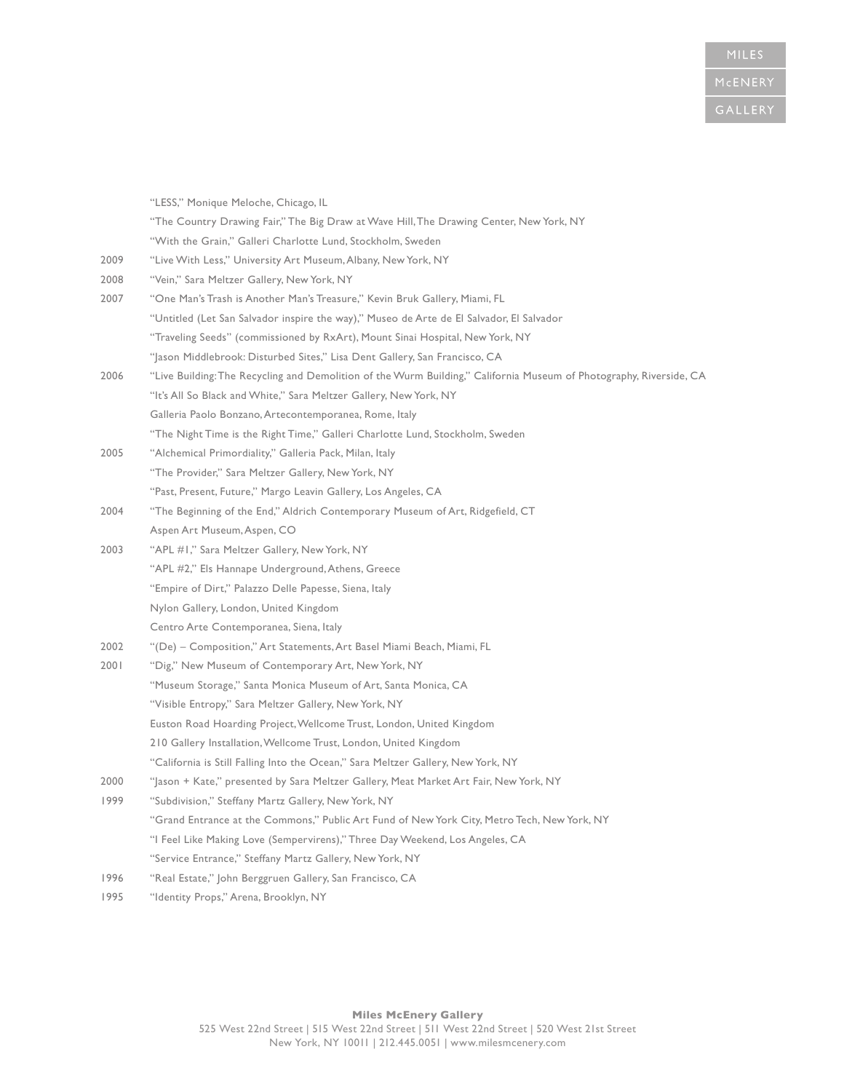|      | "LESS," Monique Meloche, Chicago, IL                                                                                |
|------|---------------------------------------------------------------------------------------------------------------------|
|      | "The Country Drawing Fair," The Big Draw at Wave Hill, The Drawing Center, New York, NY                             |
|      | "With the Grain," Galleri Charlotte Lund, Stockholm, Sweden                                                         |
| 2009 | "Live With Less," University Art Museum, Albany, New York, NY                                                       |
| 2008 | "Vein," Sara Meltzer Gallery, New York, NY                                                                          |
| 2007 | "One Man's Trash is Another Man's Treasure," Kevin Bruk Gallery, Miami, FL                                          |
|      | "Untitled (Let San Salvador inspire the way)," Museo de Arte de El Salvador, El Salvador                            |
|      | "Traveling Seeds" (commissioned by RxArt), Mount Sinai Hospital, New York, NY                                       |
|      | "Jason Middlebrook: Disturbed Sites," Lisa Dent Gallery, San Francisco, CA                                          |
| 2006 | "Live Building: The Recycling and Demolition of the Wurm Building," California Museum of Photography, Riverside, CA |
|      | "It's All So Black and White," Sara Meltzer Gallery, New York, NY                                                   |
|      | Galleria Paolo Bonzano, Artecontemporanea, Rome, Italy                                                              |
|      | "The Night Time is the Right Time," Galleri Charlotte Lund, Stockholm, Sweden                                       |
| 2005 | "Alchemical Primordiality," Galleria Pack, Milan, Italy                                                             |
|      | "The Provider," Sara Meltzer Gallery, New York, NY                                                                  |
|      | "Past, Present, Future," Margo Leavin Gallery, Los Angeles, CA                                                      |
| 2004 | "The Beginning of the End," Aldrich Contemporary Museum of Art, Ridgefield, CT                                      |
|      | Aspen Art Museum, Aspen, CO                                                                                         |
| 2003 | "APL #1," Sara Meltzer Gallery, New York, NY                                                                        |
|      | "APL #2," Els Hannape Underground, Athens, Greece                                                                   |
|      | "Empire of Dirt," Palazzo Delle Papesse, Siena, Italy                                                               |
|      | Nylon Gallery, London, United Kingdom                                                                               |
|      | Centro Arte Contemporanea, Siena, Italy                                                                             |
| 2002 | "(De) - Composition," Art Statements, Art Basel Miami Beach, Miami, FL                                              |
| 2001 | "Dig," New Museum of Contemporary Art, New York, NY                                                                 |
|      | "Museum Storage," Santa Monica Museum of Art, Santa Monica, CA                                                      |
|      | "Visible Entropy," Sara Meltzer Gallery, New York, NY                                                               |
|      | Euston Road Hoarding Project, Wellcome Trust, London, United Kingdom                                                |
|      | 210 Gallery Installation, Wellcome Trust, London, United Kingdom                                                    |
|      | "California is Still Falling Into the Ocean," Sara Meltzer Gallery, New York, NY                                    |
| 2000 | "Jason + Kate," presented by Sara Meltzer Gallery, Meat Market Art Fair, New York, NY                               |
| 1999 | "Subdivision," Steffany Martz Gallery, New York, NY                                                                 |
|      | "Grand Entrance at the Commons," Public Art Fund of New York City, Metro Tech, New York, NY                         |
|      | "I Feel Like Making Love (Sempervirens)," Three Day Weekend, Los Angeles, CA                                        |
|      | "Service Entrance," Steffany Martz Gallery, New York, NY                                                            |
| 1996 | "Real Estate," John Berggruen Gallery, San Francisco, CA                                                            |
| 1995 | "Identity Props," Arena, Brooklyn, NY                                                                               |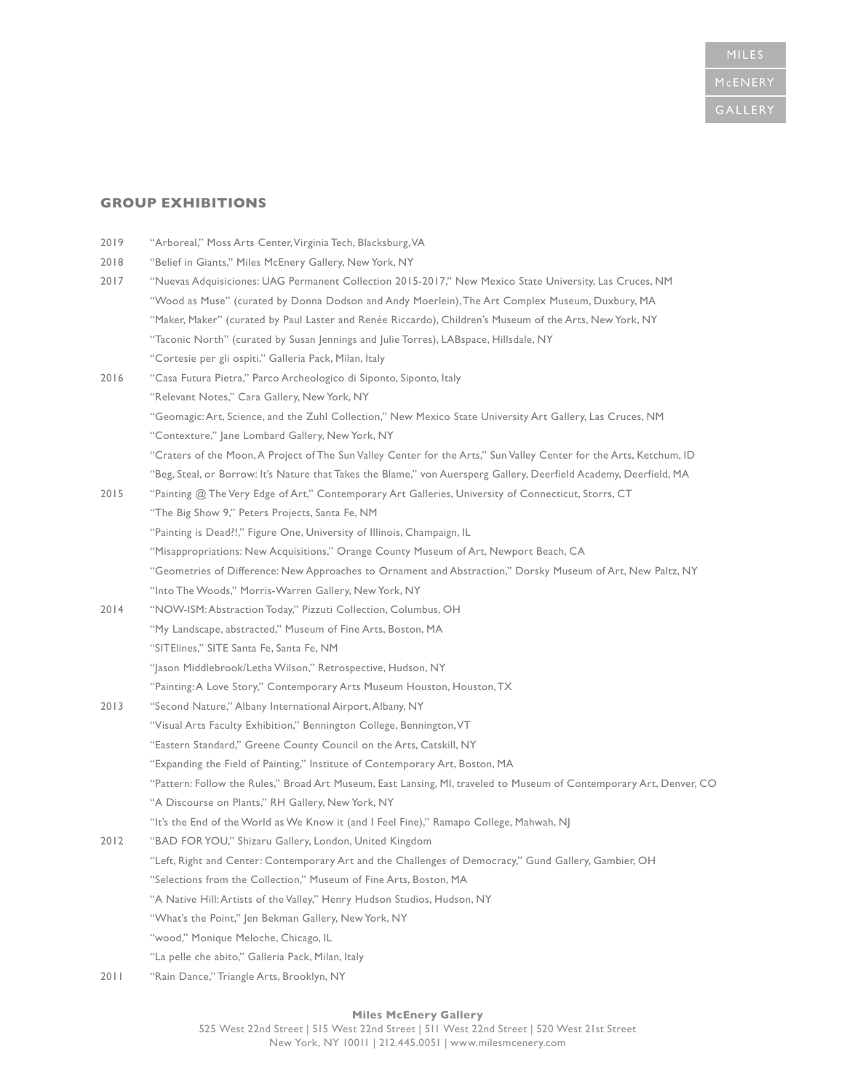## **GROUP EXHIBITIONS**

| 2019 | "Arboreal," Moss Arts Center, Virginia Tech, Blacksburg, VA                                                         |
|------|---------------------------------------------------------------------------------------------------------------------|
| 2018 | "Belief in Giants," Miles McEnery Gallery, New York, NY                                                             |
| 2017 | "Nuevas Adquisiciones: UAG Permanent Collection 2015-2017," New Mexico State University, Las Cruces, NM             |
|      | "Wood as Muse" (curated by Donna Dodson and Andy Moerlein), The Art Complex Museum, Duxbury, MA                     |
|      | "Maker, Maker" (curated by Paul Laster and Renée Riccardo), Children's Museum of the Arts, New York, NY             |
|      | "Taconic North" (curated by Susan Jennings and Julie Torres), LABspace, Hillsdale, NY                               |
|      | "Cortesie per gli ospiti," Galleria Pack, Milan, Italy                                                              |
| 2016 | "Casa Futura Pietra," Parco Archeologico di Siponto, Siponto, Italy                                                 |
|      | "Relevant Notes," Cara Gallery, New York, NY                                                                        |
|      | "Geomagic: Art, Science, and the Zuhl Collection," New Mexico State University Art Gallery, Las Cruces, NM          |
|      | "Contexture," Jane Lombard Gallery, New York, NY                                                                    |
|      | "Craters of the Moon, A Project of The Sun Valley Center for the Arts," Sun Valley Center for the Arts, Ketchum, ID |
|      | "Beg, Steal, or Borrow: It's Nature that Takes the Blame," von Auersperg Gallery, Deerfield Academy, Deerfield, MA  |
| 2015 | "Painting @ The Very Edge of Art," Contemporary Art Galleries, University of Connecticut, Storrs, CT                |
|      | "The Big Show 9," Peters Projects, Santa Fe, NM                                                                     |
|      | "Painting is Dead !!," Figure One, University of Illinois, Champaign, IL                                            |
|      | "Misappropriations: New Acquisitions," Orange County Museum of Art, Newport Beach, CA                               |
|      | "Geometries of Difference: New Approaches to Ornament and Abstraction," Dorsky Museum of Art, New Paltz, NY         |
|      | "Into The Woods," Morris-Warren Gallery, New York, NY                                                               |
| 2014 | "NOW-ISM: Abstraction Today," Pizzuti Collection, Columbus, OH                                                      |
|      | "My Landscape, abstracted," Museum of Fine Arts, Boston, MA                                                         |
|      | "SITElines," SITE Santa Fe, Santa Fe, NM                                                                            |
|      | "Jason Middlebrook/Letha Wilson," Retrospective, Hudson, NY                                                         |
|      | "Painting: A Love Story," Contemporary Arts Museum Houston, Houston, TX                                             |
| 2013 | "Second Nature," Albany International Airport, Albany, NY                                                           |
|      | "Visual Arts Faculty Exhibition," Bennington College, Bennington, VT                                                |
|      | "Eastern Standard," Greene County Council on the Arts, Catskill, NY                                                 |
|      | "Expanding the Field of Painting," Institute of Contemporary Art, Boston, MA                                        |
|      | "Pattern: Follow the Rules," Broad Art Museum, East Lansing, MI, traveled to Museum of Contemporary Art, Denver, CO |
|      | "A Discourse on Plants," RH Gallery, New York, NY                                                                   |
|      | "It's the End of the World as We Know it (and I Feel Fine)," Ramapo College, Mahwah, NJ                             |
| 2012 | "BAD FOR YOU," Shizaru Gallery, London, United Kingdom                                                              |
|      | "Left, Right and Center: Contemporary Art and the Challenges of Democracy," Gund Gallery, Gambier, OH               |
|      | "Selections from the Collection," Museum of Fine Arts, Boston, MA                                                   |
|      | "A Native Hill: Artists of the Valley," Henry Hudson Studios, Hudson, NY                                            |
|      | "What's the Point," Jen Bekman Gallery, New York, NY                                                                |
|      | "wood," Monique Meloche, Chicago, IL                                                                                |
|      | "La pelle che abito," Galleria Pack, Milan, Italy                                                                   |
| 2011 | "Rain Dance," Triangle Arts, Brooklyn, NY                                                                           |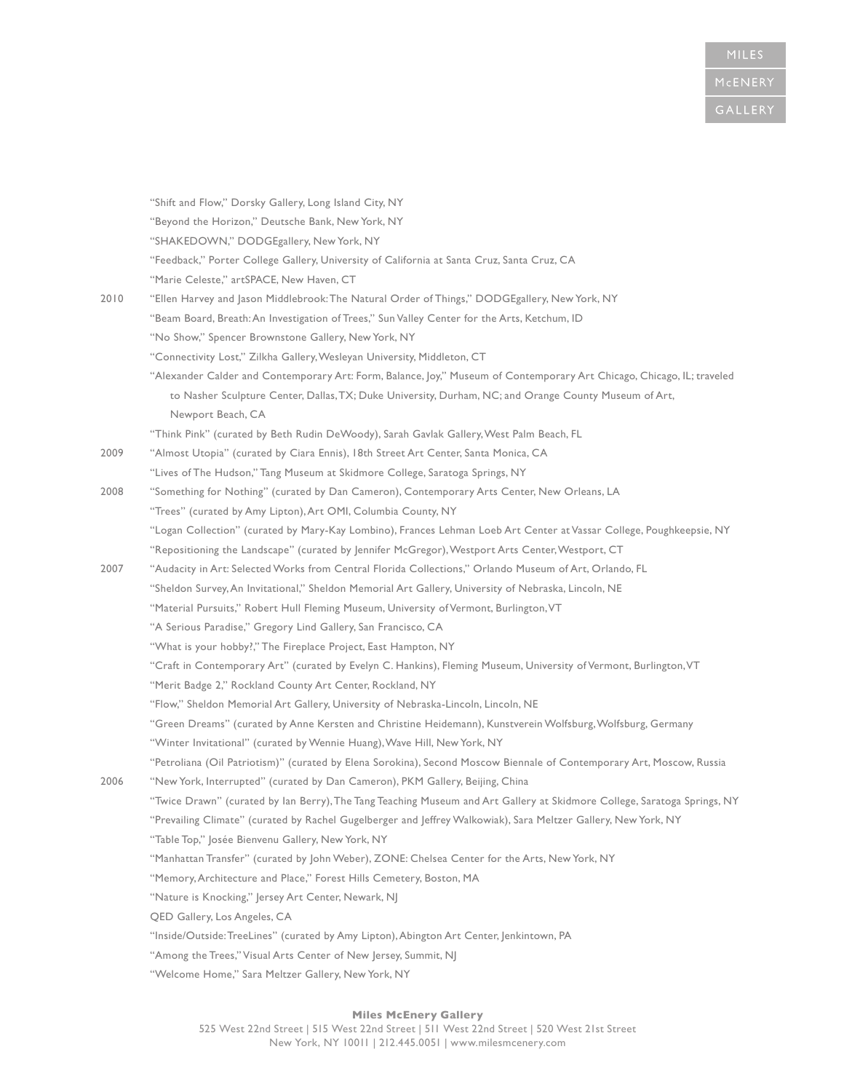|      | "Shift and Flow," Dorsky Gallery, Long Island City, NY                                                                   |
|------|--------------------------------------------------------------------------------------------------------------------------|
|      | "Beyond the Horizon," Deutsche Bank, New York, NY                                                                        |
|      | "SHAKEDOWN," DODGEgallery, New York, NY                                                                                  |
|      | "Feedback," Porter College Gallery, University of California at Santa Cruz, Santa Cruz, CA                               |
|      | "Marie Celeste," artSPACE, New Haven, CT                                                                                 |
| 2010 | "Ellen Harvey and Jason Middlebrook: The Natural Order of Things," DODGEgallery, New York, NY                            |
|      | "Beam Board, Breath: An Investigation of Trees," Sun Valley Center for the Arts, Ketchum, ID                             |
|      | "No Show," Spencer Brownstone Gallery, New York, NY                                                                      |
|      | "Connectivity Lost," Zilkha Gallery, Wesleyan University, Middleton, CT                                                  |
|      | "Alexander Calder and Contemporary Art: Form, Balance, Joy," Museum of Contemporary Art Chicago, Chicago, IL; traveled   |
|      | to Nasher Sculpture Center, Dallas, TX; Duke University, Durham, NC; and Orange County Museum of Art,                    |
|      | Newport Beach, CA                                                                                                        |
|      | "Think Pink" (curated by Beth Rudin DeWoody), Sarah Gavlak Gallery, West Palm Beach, FL                                  |
| 2009 | "Almost Utopia" (curated by Ciara Ennis), 18th Street Art Center, Santa Monica, CA                                       |
|      | "Lives of The Hudson," Tang Museum at Skidmore College, Saratoga Springs, NY                                             |
| 2008 | "Something for Nothing" (curated by Dan Cameron), Contemporary Arts Center, New Orleans, LA                              |
|      | "Trees" (curated by Amy Lipton), Art OMI, Columbia County, NY                                                            |
|      | "Logan Collection" (curated by Mary-Kay Lombino), Frances Lehman Loeb Art Center at Vassar College, Poughkeepsie, NY     |
|      | "Repositioning the Landscape" (curated by Jennifer McGregor), Westport Arts Center, Westport, CT                         |
| 2007 | "Audacity in Art: Selected Works from Central Florida Collections," Orlando Museum of Art, Orlando, FL                   |
|      | "Sheldon Survey, An Invitational," Sheldon Memorial Art Gallery, University of Nebraska, Lincoln, NE                     |
|      | "Material Pursuits," Robert Hull Fleming Museum, University of Vermont, Burlington, VT                                   |
|      | "A Serious Paradise," Gregory Lind Gallery, San Francisco, CA                                                            |
|      | "What is your hobby?," The Fireplace Project, East Hampton, NY                                                           |
|      | "Craft in Contemporary Art" (curated by Evelyn C. Hankins), Fleming Museum, University of Vermont, Burlington, VT        |
|      | "Merit Badge 2," Rockland County Art Center, Rockland, NY                                                                |
|      | "Flow," Sheldon Memorial Art Gallery, University of Nebraska-Lincoln, Lincoln, NE                                        |
|      | "Green Dreams" (curated by Anne Kersten and Christine Heidemann), Kunstverein Wolfsburg, Wolfsburg, Germany              |
|      | "Winter Invitational" (curated by Wennie Huang), Wave Hill, New York, NY                                                 |
|      | "Petroliana (Oil Patriotism)" (curated by Elena Sorokina), Second Moscow Biennale of Contemporary Art, Moscow, Russia    |
| 2006 | "New York, Interrupted" (curated by Dan Cameron), PKM Gallery, Beijing, China                                            |
|      | "Twice Drawn" (curated by Ian Berry), The Tang Teaching Museum and Art Gallery at Skidmore College, Saratoga Springs, NY |
|      | "Prevailing Climate" (curated by Rachel Gugelberger and Jeffrey Walkowiak), Sara Meltzer Gallery, New York, NY           |
|      | "Table Top," Josée Bienvenu Gallery, New York, NY                                                                        |
|      | "Manhattan Transfer" (curated by John Weber), ZONE: Chelsea Center for the Arts, New York, NY                            |
|      | "Memory, Architecture and Place," Forest Hills Cemetery, Boston, MA                                                      |
|      | "Nature is Knocking," Jersey Art Center, Newark, NJ                                                                      |
|      | QED Gallery, Los Angeles, CA                                                                                             |
|      | "Inside/Outside:TreeLines" (curated by Amy Lipton), Abington Art Center, Jenkintown, PA                                  |
|      | "Among the Trees," Visual Arts Center of New Jersey, Summit, NJ                                                          |
|      | "Welcome Home," Sara Meltzer Gallery, New York, NY                                                                       |
|      |                                                                                                                          |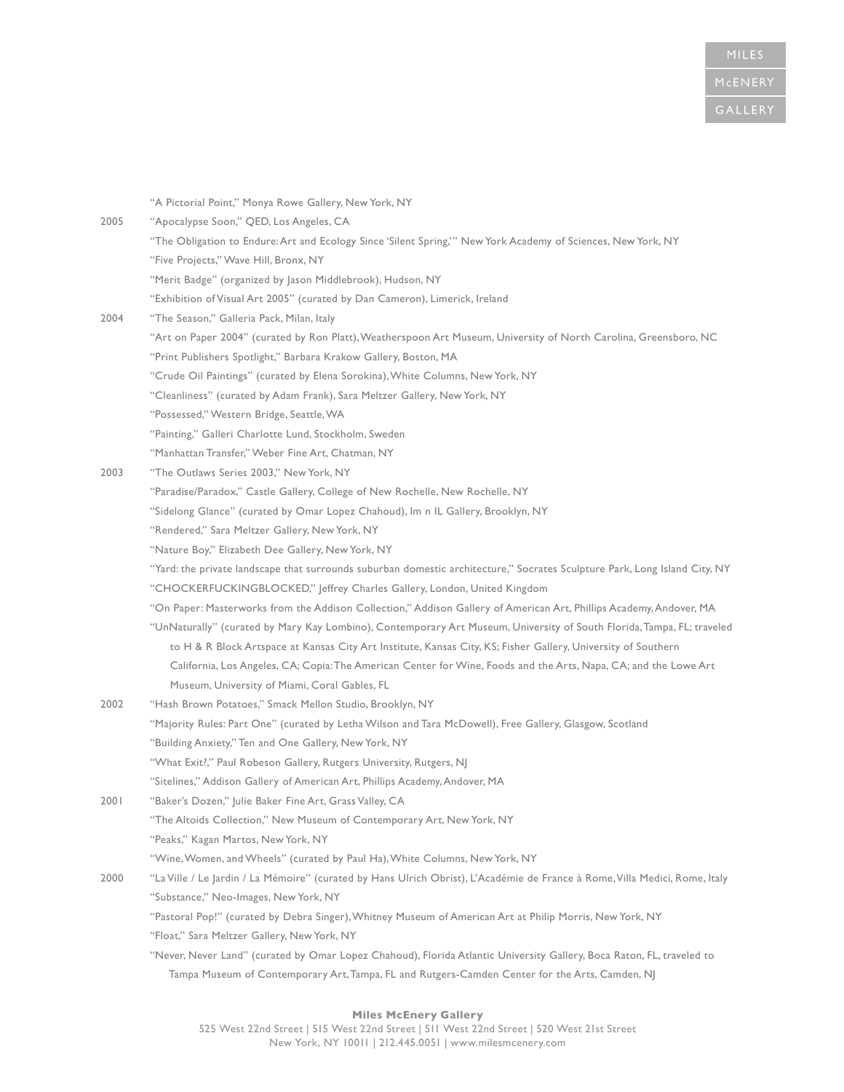|      | "A Pictorial Point," Monya Rowe Gallery, New York, NY                                                                       |
|------|-----------------------------------------------------------------------------------------------------------------------------|
| 2005 | "Apocalypse Soon," QED, Los Angeles, CA                                                                                     |
|      | "The Obligation to Endure: Art and Ecology Since 'Silent Spring,'" New York Academy of Sciences, New York, NY               |
|      | "Five Projects," Wave Hill, Bronx, NY                                                                                       |
|      | "Merit Badge" (organized by Jason Middlebrook), Hudson, NY                                                                  |
|      | "Exhibition of Visual Art 2005" (curated by Dan Cameron), Limerick, Ireland                                                 |
| 2004 | "The Season," Galleria Pack, Milan, Italy                                                                                   |
|      | "Art on Paper 2004" (curated by Ron Platt), Weatherspoon Art Museum, University of North Carolina, Greensboro, NC           |
|      | "Print Publishers Spotlight," Barbara Krakow Gallery, Boston, MA                                                            |
|      | "Crude Oil Paintings" (curated by Elena Sorokina), White Columns, New York, NY                                              |
|      | "Cleanliness" (curated by Adam Frank), Sara Meltzer Gallery, New York, NY                                                   |
|      | "Possessed," Western Bridge, Seattle, WA                                                                                    |
|      | "Painting," Galleri Charlotte Lund, Stockholm, Sweden                                                                       |
|      | "Manhattan Transfer," Weber Fine Art, Chatman, NY                                                                           |
| 2003 | "The Outlaws Series 2003," New York, NY                                                                                     |
|      | "Paradise/Paradox," Castle Gallery, College of New Rochelle, New Rochelle, NY                                               |
|      | "Sidelong Glance" (curated by Omar Lopez Chahoud), Im n IL Gallery, Brooklyn, NY                                            |
|      | "Rendered," Sara Meltzer Gallery, New York, NY                                                                              |
|      | "Nature Boy," Elizabeth Dee Gallery, New York, NY                                                                           |
|      | "Yard: the private landscape that surrounds suburban domestic architecture," Socrates Sculpture Park, Long Island City, NY  |
|      | "CHOCKERFUCKINGBLOCKED," Jeffrey Charles Gallery, London, United Kingdom                                                    |
|      | "On Paper: Masterworks from the Addison Collection," Addison Gallery of American Art, Phillips Academy, Andover, MA         |
|      | "UnNaturally" (curated by Mary Kay Lombino), Contemporary Art Museum, University of South Florida, Tampa, FL; traveled      |
|      | to H & R Block Artspace at Kansas City Art Institute, Kansas City, KS; Fisher Gallery, University of Southern               |
|      | California, Los Angeles, CA; Copia: The American Center for Wine, Foods and the Arts, Napa, CA; and the Lowe Art            |
|      | Museum, University of Miami, Coral Gables, FL                                                                               |
| 2002 | "Hash Brown Potatoes," Smack Mellon Studio, Brooklyn, NY                                                                    |
|      | "Majority Rules: Part One" (curated by Letha Wilson and Tara McDowell), Free Gallery, Glasgow, Scotland                     |
|      | "Building Anxiety," Ten and One Gallery, New York, NY                                                                       |
|      | "What Exit?," Paul Robeson Gallery, Rutgers University, Rutgers, NJ                                                         |
|      | "Sitelines," Addison Gallery of American Art, Phillips Academy, Andover, MA                                                 |
| 2001 | "Baker's Dozen," Julie Baker Fine Art, Grass Valley, CA                                                                     |
|      | "The Altoids Collection," New Museum of Contemporary Art, New York, NY                                                      |
|      | "Peaks," Kagan Martos, New York, NY                                                                                         |
|      | "Wine, Women, and Wheels" (curated by Paul Ha), White Columns, New York, NY                                                 |
| 2000 | "La Ville / Le Jardin / La Mémoire" (curated by Hans Ulrich Obrist), L'Académie de France à Rome, Villa Medici, Rome, Italy |
|      | "Substance," Neo-Images, New York, NY                                                                                       |
|      | "Pastoral Pop!" (curated by Debra Singer), Whitney Museum of American Art at Philip Morris, New York, NY                    |
|      | "Float," Sara Meltzer Gallery, New York, NY                                                                                 |
|      | "Never, Never Land" (curated by Omar Lopez Chahoud), Florida Atlantic University Gallery, Boca Raton, FL, traveled to       |
|      | Tampa Museum of Contemporary Art, Tampa, FL and Rutgers-Camden Center for the Arts, Camden, NJ                              |
|      |                                                                                                                             |

### **Miles McEnery Gallery**  525 West 22nd Street | 515 West 22nd Street | 511 West 22nd Street | 520 West 21st Street New York, NY 10011 | 212.445.0051 | www.milesmcenery.com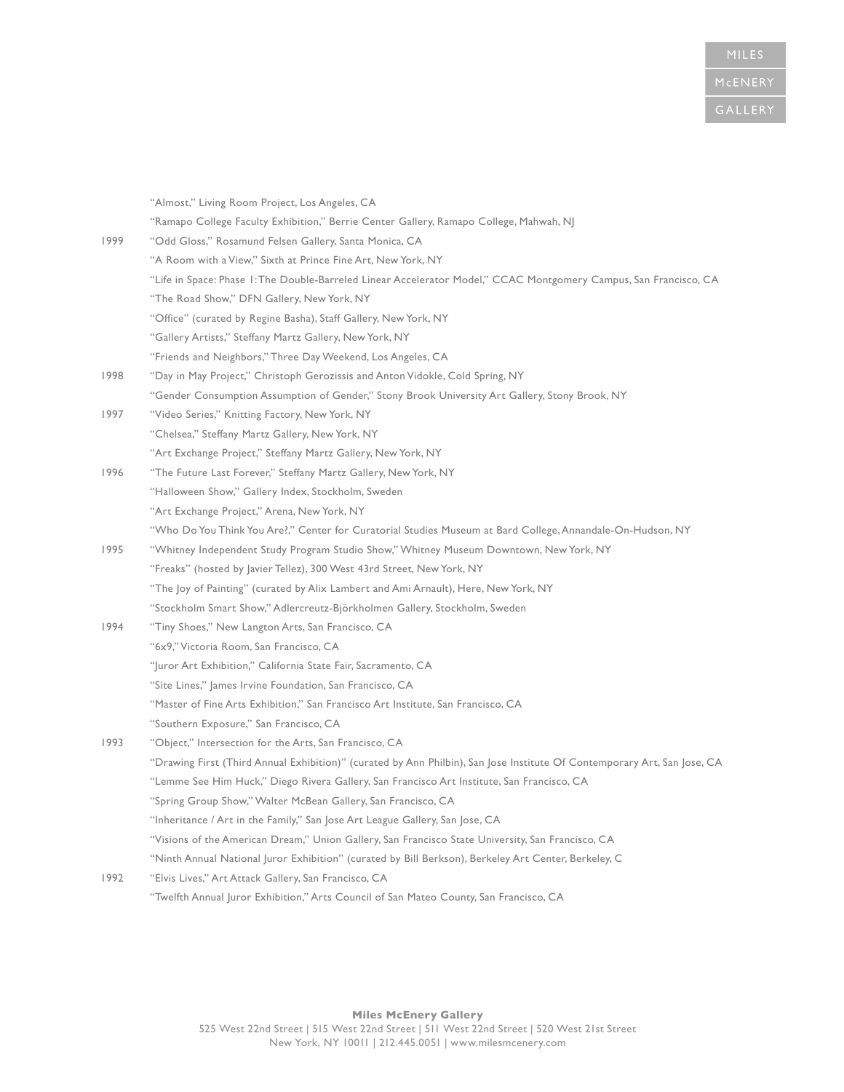|      | "Almost," Living Room Project, Los Angeles, CA                                                                           |
|------|--------------------------------------------------------------------------------------------------------------------------|
|      | "Ramapo College Faculty Exhibition," Berrie Center Gallery, Ramapo College, Mahwah, NJ                                   |
| 1999 | "Odd Gloss," Rosamund Felsen Gallery, Santa Monica, CA                                                                   |
|      | "A Room with a View," Sixth at Prince Fine Art, New York, NY                                                             |
|      | "Life in Space: Phase 1: The Double-Barreled Linear Accelerator Model," CCAC Montgomery Campus, San Francisco, CA        |
|      | "The Road Show," DFN Gallery, New York, NY                                                                               |
|      | "Office" (curated by Regine Basha), Staff Gallery, New York, NY                                                          |
|      | "Gallery Artists," Steffany Martz Gallery, New York, NY                                                                  |
|      | "Friends and Neighbors," Three Day Weekend, Los Angeles, CA                                                              |
| 1998 | "Day in May Project," Christoph Gerozissis and Anton Vidokle, Cold Spring, NY                                            |
|      | "Gender Consumption Assumption of Gender," Stony Brook University Art Gallery, Stony Brook, NY                           |
| 1997 | "Video Series," Knitting Factory, New York, NY                                                                           |
|      | "Chelsea," Steffany Martz Gallery, New York, NY                                                                          |
|      | "Art Exchange Project," Steffany Martz Gallery, New York, NY                                                             |
| 1996 | "The Future Last Forever," Steffany Martz Gallery, New York, NY                                                          |
|      | "Halloween Show," Gallery Index, Stockholm, Sweden                                                                       |
|      | "Art Exchange Project," Arena, New York, NY                                                                              |
|      | "Who Do You Think You Are?," Center for Curatorial Studies Museum at Bard College, Annandale-On-Hudson, NY               |
| 1995 | "Whitney Independent Study Program Studio Show," Whitney Museum Downtown, New York, NY                                   |
|      | "Freaks" (hosted by Javier Tellez), 300 West 43rd Street, New York, NY                                                   |
|      | "The Joy of Painting" (curated by Alix Lambert and Ami Arnault), Here, New York, NY                                      |
|      | "Stockholm Smart Show," Adlercreutz-Björkholmen Gallery, Stockholm, Sweden                                               |
| 1994 | "Tiny Shoes," New Langton Arts, San Francisco, CA                                                                        |
|      | "6x9," Victoria Room, San Francisco, CA                                                                                  |
|      | "Juror Art Exhibition," California State Fair, Sacramento, CA                                                            |
|      | "Site Lines," James Irvine Foundation, San Francisco, CA                                                                 |
|      | "Master of Fine Arts Exhibition," San Francisco Art Institute, San Francisco, CA                                         |
|      | "Southern Exposure," San Francisco, CA                                                                                   |
| 1993 | "Object," Intersection for the Arts, San Francisco, CA                                                                   |
|      | "Drawing First (Third Annual Exhibition)" (curated by Ann Philbin), San Jose Institute Of Contemporary Art, San Jose, CA |
|      | "Lemme See Him Huck," Diego Rivera Gallery, San Francisco Art Institute, San Francisco, CA                               |
|      | "Spring Group Show," Walter McBean Gallery, San Francisco, CA                                                            |
|      | "Inheritance / Art in the Family," San Jose Art League Gallery, San Jose, CA                                             |
|      | "Visions of the American Dream," Union Gallery, San Francisco State University, San Francisco, CA                        |
|      | "Ninth Annual National Juror Exhibition" (curated by Bill Berkson), Berkeley Art Center, Berkeley, C                     |
| 1992 | "Elvis Lives," Art Attack Gallery, San Francisco, CA                                                                     |
|      | "Twelfth Annual Juror Exhibition," Arts Council of San Mateo County, San Francisco, CA                                   |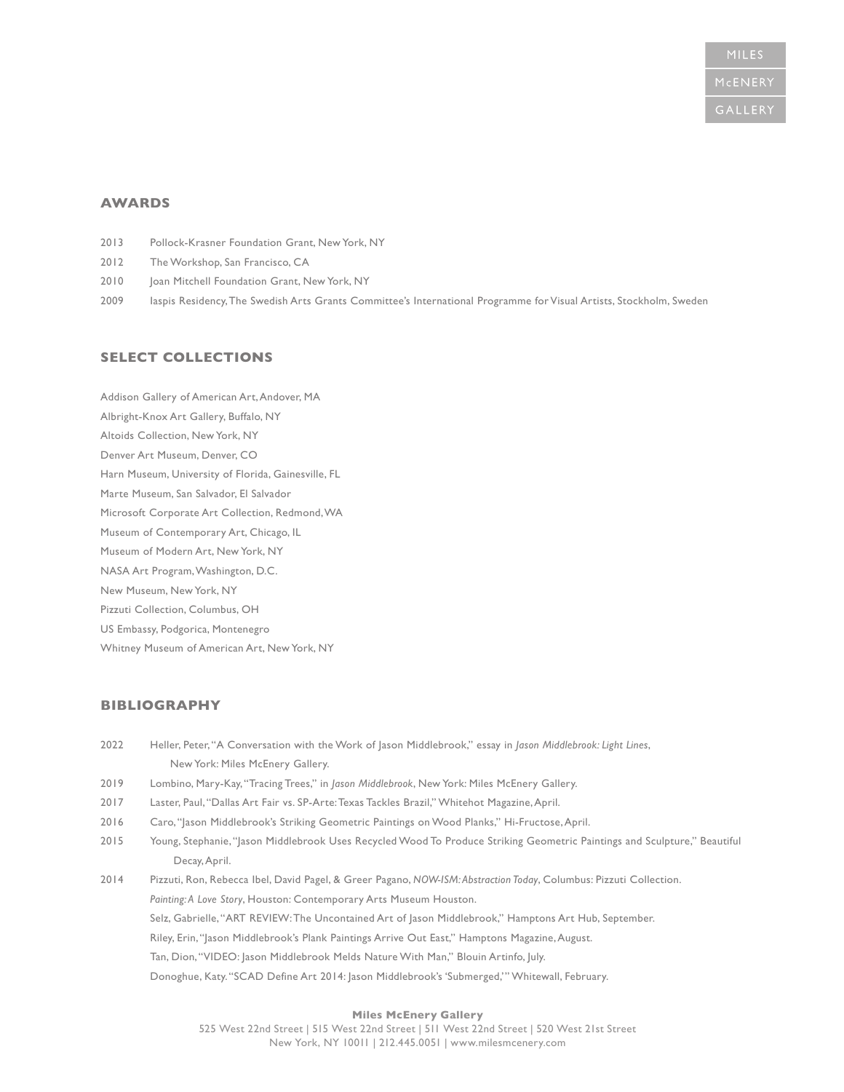### **AWARDS**

- 2013 Pollock-Krasner Foundation Grant, New York, NY
- 2012 The Workshop, San Francisco, CA
- 2010 Joan Mitchell Foundation Grant, New York, NY
- 2009 Iaspis Residency, The Swedish Arts Grants Committee's International Programme for Visual Artists, Stockholm, Sweden

## **SELECT COLLECTIONS**

Addison Gallery of American Art, Andover, MA Albright-Knox Art Gallery, Buffalo, NY Altoids Collection, New York, NY Denver Art Museum, Denver, CO Harn Museum, University of Florida, Gainesville, FL Marte Museum, San Salvador, El Salvador Microsoft Corporate Art Collection, Redmond, WA Museum of Contemporary Art, Chicago, IL Museum of Modern Art, New York, NY NASA Art Program, Washington, D.C. New Museum, New York, NY Pizzuti Collection, Columbus, OH US Embassy, Podgorica, Montenegro Whitney Museum of American Art, New York, NY

## **BIBLIOGRAPHY**

|      | New York: Miles McEnery Gallery.                                                                                          |
|------|---------------------------------------------------------------------------------------------------------------------------|
| 2019 | Lombino, Mary-Kay, "Tracing Trees," in Jason Middlebrook, New York: Miles McEnery Gallery.                                |
| 2017 | Laster, Paul, "Dallas Art Fair vs. SP-Arte: Texas Tackles Brazil," Whitehot Magazine, April.                              |
| 2016 | Caro, "Jason Middlebrook's Striking Geometric Paintings on Wood Planks," Hi-Fructose, April.                              |
| 2015 | Young, Stephanie, "Jason Middlebrook Uses Recycled Wood To Produce Striking Geometric Paintings and Sculpture," Beautiful |
|      | Decay, April.                                                                                                             |
| 2014 | Pizzuti, Ron, Rebecca Ibel, David Pagel, & Greer Pagano, NOW-ISM: Abstraction Today, Columbus: Pizzuti Collection.        |
|      | Painting: A Love Story, Houston: Contemporary Arts Museum Houston.                                                        |
|      | Selz, Gabrielle, "ART REVIEW: The Uncontained Art of Jason Middlebrook," Hamptons Art Hub, September.                     |
|      | Riley, Erin, "Jason Middlebrook's Plank Paintings Arrive Out East," Hamptons Magazine, August.                            |
|      | Tan, Dion, "VIDEO: Jason Middlebrook Melds Nature With Man," Blouin Artinfo, July.                                        |
|      | Donoghue, Katy. "SCAD Define Art 2014: Jason Middlebrook's 'Submerged,'" Whitewall, February.                             |

2022 Heller, Peter, "A Conversation with the Work of Jason Middlebrook," essay in *Jason Middlebrook: Light Lines*,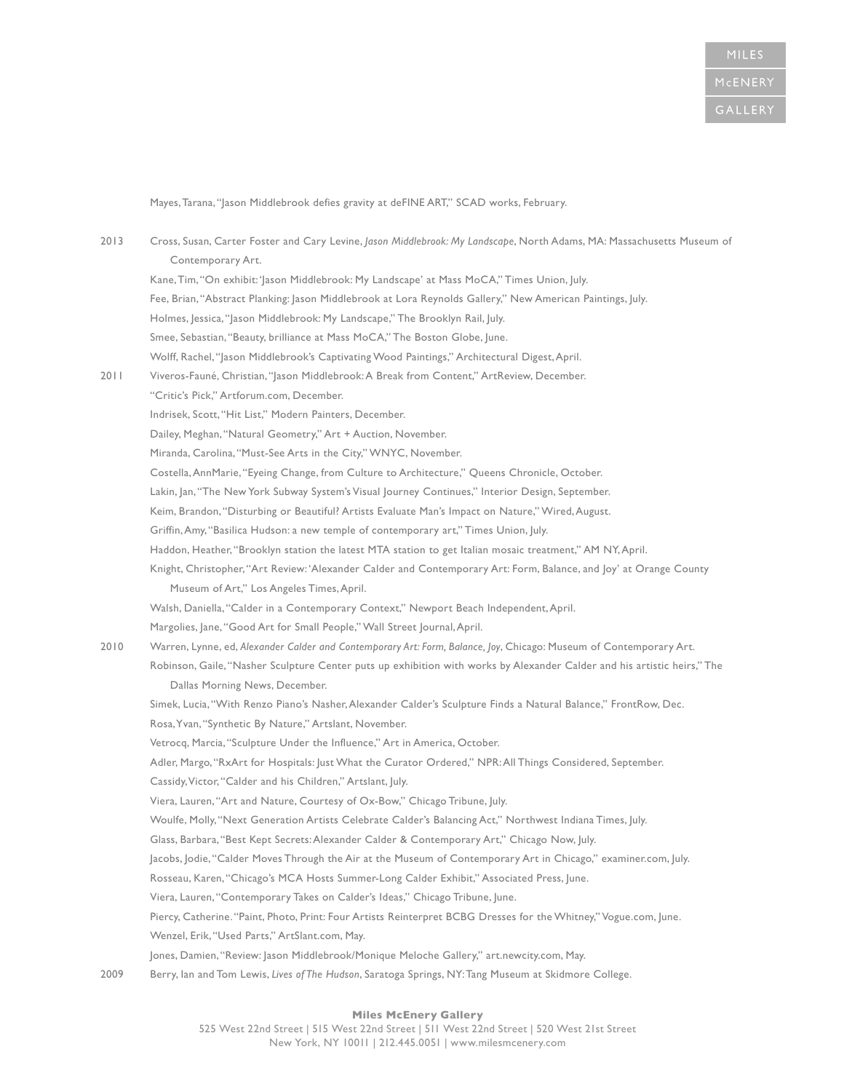Mayes, Tarana, "Jason Middlebrook defies gravity at deFINE ART," SCAD works, February.

| 2013 | Cross, Susan, Carter Foster and Cary Levine, Jason Middlebrook: My Landscape, North Adams, MA: Massachusetts Museum of   |
|------|--------------------------------------------------------------------------------------------------------------------------|
|      | Contemporary Art.                                                                                                        |
|      | Kane, Tim, "On exhibit: 'Jason Middlebrook: My Landscape' at Mass MoCA," Times Union, July.                              |
|      | Fee, Brian, "Abstract Planking: Jason Middlebrook at Lora Reynolds Gallery," New American Paintings, July.               |
|      | Holmes, Jessica, "Jason Middlebrook: My Landscape," The Brooklyn Rail, July.                                             |
|      | Smee, Sebastian, "Beauty, brilliance at Mass MoCA," The Boston Globe, June.                                              |
|      | Wolff, Rachel, "Jason Middlebrook's Captivating Wood Paintings," Architectural Digest, April.                            |
| 2011 | Viveros-Fauné, Christian, "Jason Middlebrook: A Break from Content," ArtReview, December.                                |
|      | "Critic's Pick," Artforum.com, December.                                                                                 |
|      | Indrisek, Scott, "Hit List," Modern Painters, December.                                                                  |
|      | Dailey, Meghan, "Natural Geometry," Art + Auction, November.                                                             |
|      | Miranda, Carolina, "Must-See Arts in the City," WNYC, November.                                                          |
|      | Costella, AnnMarie, "Eyeing Change, from Culture to Architecture," Queens Chronicle, October.                            |
|      | Lakin, Jan, "The New York Subway System's Visual Journey Continues," Interior Design, September.                         |
|      | Keim, Brandon, "Disturbing or Beautiful? Artists Evaluate Man's Impact on Nature," Wired, August.                        |
|      | Griffin, Amy, "Basilica Hudson: a new temple of contemporary art," Times Union, July.                                    |
|      | Haddon, Heather, "Brooklyn station the latest MTA station to get Italian mosaic treatment," AM NY, April.                |
|      | Knight, Christopher, "Art Review: 'Alexander Calder and Contemporary Art: Form, Balance, and Joy' at Orange County       |
|      | Museum of Art," Los Angeles Times, April.                                                                                |
|      | Walsh, Daniella, "Calder in a Contemporary Context," Newport Beach Independent, April.                                   |
|      | Margolies, Jane, "Good Art for Small People," Wall Street Journal, April.                                                |
| 2010 | Warren, Lynne, ed, Alexander Calder and Contemporary Art: Form, Balance, Joy, Chicago: Museum of Contemporary Art.       |
|      | Robinson, Gaile, "Nasher Sculpture Center puts up exhibition with works by Alexander Calder and his artistic heirs," The |
|      | Dallas Morning News, December.                                                                                           |
|      | Simek, Lucia, "With Renzo Piano's Nasher, Alexander Calder's Sculpture Finds a Natural Balance," FrontRow, Dec.          |
|      | Rosa, Yvan, "Synthetic By Nature," Artslant, November.                                                                   |
|      | Vetrocq, Marcia, "Sculpture Under the Influence," Art in America, October.                                               |
|      | Adler, Margo, "RxArt for Hospitals: Just What the Curator Ordered," NPR: All Things Considered, September.               |
|      | Cassidy, Victor, "Calder and his Children," Artslant, July.                                                              |
|      | Viera, Lauren, "Art and Nature, Courtesy of Ox-Bow," Chicago Tribune, July.                                              |
|      | Woulfe, Molly, "Next Generation Artists Celebrate Calder's Balancing Act," Northwest Indiana Times, July.                |
|      | Glass, Barbara, "Best Kept Secrets: Alexander Calder & Contemporary Art," Chicago Now, July.                             |
|      | Jacobs, Jodie, "Calder Moves Through the Air at the Museum of Contemporary Art in Chicago," examiner.com, July.          |
|      | Rosseau, Karen, "Chicago's MCA Hosts Summer-Long Calder Exhibit," Associated Press, June.                                |
|      | Viera, Lauren, "Contemporary Takes on Calder's Ideas," Chicago Tribune, June.                                            |
|      | Piercy, Catherine. "Paint, Photo, Print: Four Artists Reinterpret BCBG Dresses for the Whitney," Vogue.com, June.        |
|      | Wenzel, Erik, "Used Parts," ArtSlant.com, May.                                                                           |
|      | Jones, Damien, "Review: Jason Middlebrook/Monique Meloche Gallery," art.newcity.com, May.                                |
| 2009 | Berry, lan and Tom Lewis, Lives of The Hudson, Saratoga Springs, NY: Tang Museum at Skidmore College.                    |
|      |                                                                                                                          |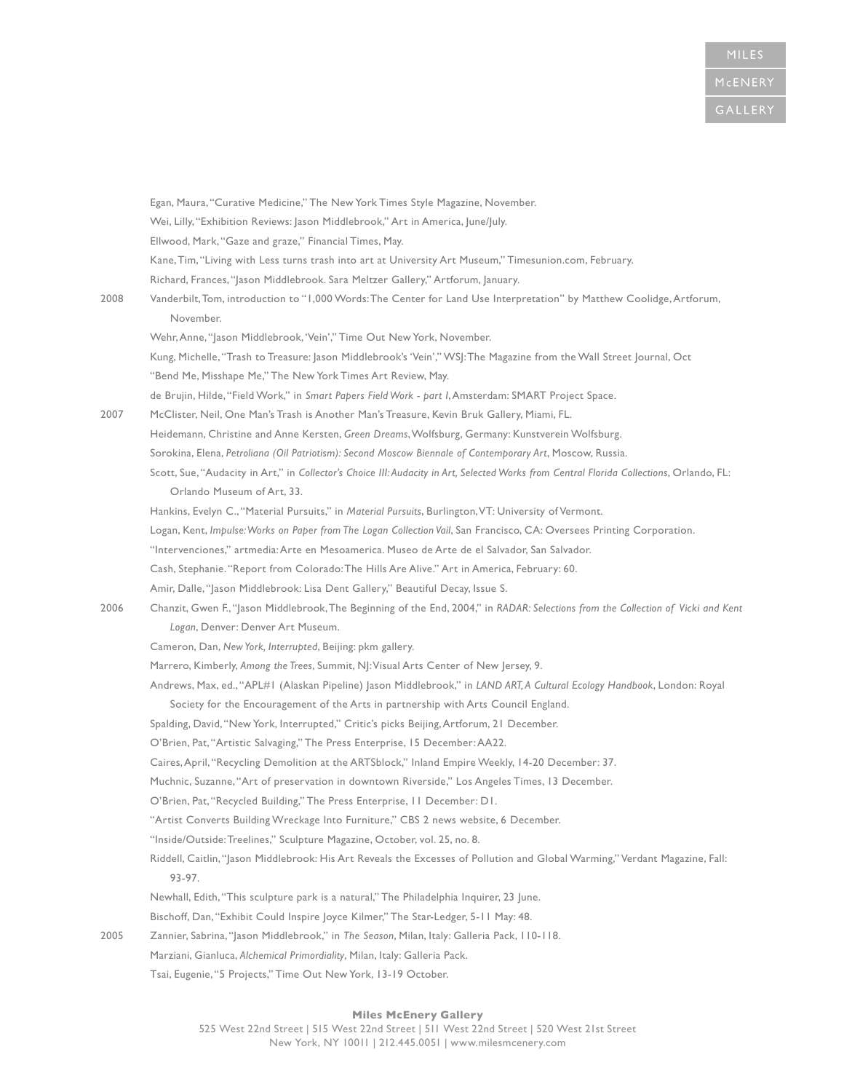|      | Egan, Maura, "Curative Medicine," The New York Times Style Magazine, November.                                                           |
|------|------------------------------------------------------------------------------------------------------------------------------------------|
|      | Wei, Lilly, "Exhibition Reviews: Jason Middlebrook," Art in America, June/July.                                                          |
|      | Ellwood, Mark, "Gaze and graze," Financial Times, May.                                                                                   |
|      | Kane, Tim, "Living with Less turns trash into art at University Art Museum," Timesunion.com, February.                                   |
|      | Richard, Frances, "Jason Middlebrook. Sara Meltzer Gallery," Artforum, January.                                                          |
| 2008 | Vanderbilt, Tom, introduction to "1,000 Words: The Center for Land Use Interpretation" by Matthew Coolidge, Artforum,<br>November.       |
|      | Wehr, Anne, "Jason Middlebrook, 'Vein'," Time Out New York, November.                                                                    |
|      | Kung, Michelle, "Trash to Treasure: Jason Middlebrook's 'Vein'," WSJ: The Magazine from the Wall Street Journal, Oct                     |
|      | "Bend Me, Misshape Me," The New York Times Art Review, May.                                                                              |
|      | de Brujin, Hilde, "Field Work," in Smart Papers Field Work - part I, Amsterdam: SMART Project Space.                                     |
| 2007 | McClister, Neil, One Man's Trash is Another Man's Treasure, Kevin Bruk Gallery, Miami, FL.                                               |
|      | Heidemann, Christine and Anne Kersten, Green Dreams, Wolfsburg, Germany: Kunstverein Wolfsburg.                                          |
|      | Sorokina, Elena, Petroliana (Oil Patriotism): Second Moscow Biennale of Contemporary Art, Moscow, Russia.                                |
|      | Scott, Sue, "Audacity in Art," in Collector's Choice III: Audacity in Art, Selected Works from Central Florida Collections, Orlando, FL: |
|      | Orlando Museum of Art, 33.                                                                                                               |
|      | Hankins, Evelyn C., "Material Pursuits," in Material Pursuits, Burlington, VT: University of Vermont.                                    |
|      | Logan, Kent, Impulse: Works on Paper from The Logan Collection Vail, San Francisco, CA: Oversees Printing Corporation.                   |
|      | "Intervenciones," artmedia: Arte en Mesoamerica. Museo de Arte de el Salvador, San Salvador.                                             |
|      | Cash, Stephanie. "Report from Colorado: The Hills Are Alive." Art in America, February: 60.                                              |
|      | Amir, Dalle, "Jason Middlebrook: Lisa Dent Gallery," Beautiful Decay, Issue S.                                                           |
| 2006 | Chanzit, Gwen F., "Jason Middlebrook, The Beginning of the End, 2004," in RADAR: Selections from the Collection of Vicki and Kent        |
|      | Logan, Denver: Denver Art Museum.                                                                                                        |
|      | Cameron, Dan, New York, Interrupted, Beijing: pkm gallery.                                                                               |
|      | Marrero, Kimberly, Among the Trees, Summit, NJ: Visual Arts Center of New Jersey, 9.                                                     |
|      | Andrews, Max, ed., "APL#1 (Alaskan Pipeline) Jason Middlebrook," in LAND ART, A Cultural Ecology Handbook, London: Royal                 |
|      | Society for the Encouragement of the Arts in partnership with Arts Council England.                                                      |
|      | Spalding, David, "New York, Interrupted," Critic's picks Beijing, Artforum, 21 December.                                                 |
|      | O'Brien, Pat, "Artistic Salvaging," The Press Enterprise, 15 December: AA22.                                                             |
|      | Caires, April, "Recycling Demolition at the ARTSblock," Inland Empire Weekly, 14-20 December: 37.                                        |
|      | Muchnic, Suzanne, "Art of preservation in downtown Riverside," Los Angeles Times, 13 December.                                           |
|      | O'Brien, Pat, "Recycled Building," The Press Enterprise, II December: DI.                                                                |
|      | "Artist Converts Building Wreckage Into Furniture," CBS 2 news website, 6 December.                                                      |
|      | "Inside/Outside: Treelines," Sculpture Magazine, October, vol. 25, no. 8.                                                                |
|      | Riddell, Caitlin, "Jason Middlebrook: His Art Reveals the Excesses of Pollution and Global Warming," Verdant Magazine, Fall:<br>93-97.   |
|      | Newhall, Edith, "This sculpture park is a natural," The Philadelphia Inquirer, 23 June.                                                  |
|      | Bischoff, Dan, "Exhibit Could Inspire Joyce Kilmer," The Star-Ledger, 5-11 May: 48.                                                      |
| 2005 | Zannier, Sabrina, "Jason Middlebrook," in The Season, Milan, Italy: Galleria Pack, 110-118.                                              |
|      | Marziani, Gianluca, Alchemical Primordiality, Milan, Italy: Galleria Pack.                                                               |
|      | Tsai, Eugenie, "5 Projects," Time Out New York, 13-19 October.                                                                           |
|      |                                                                                                                                          |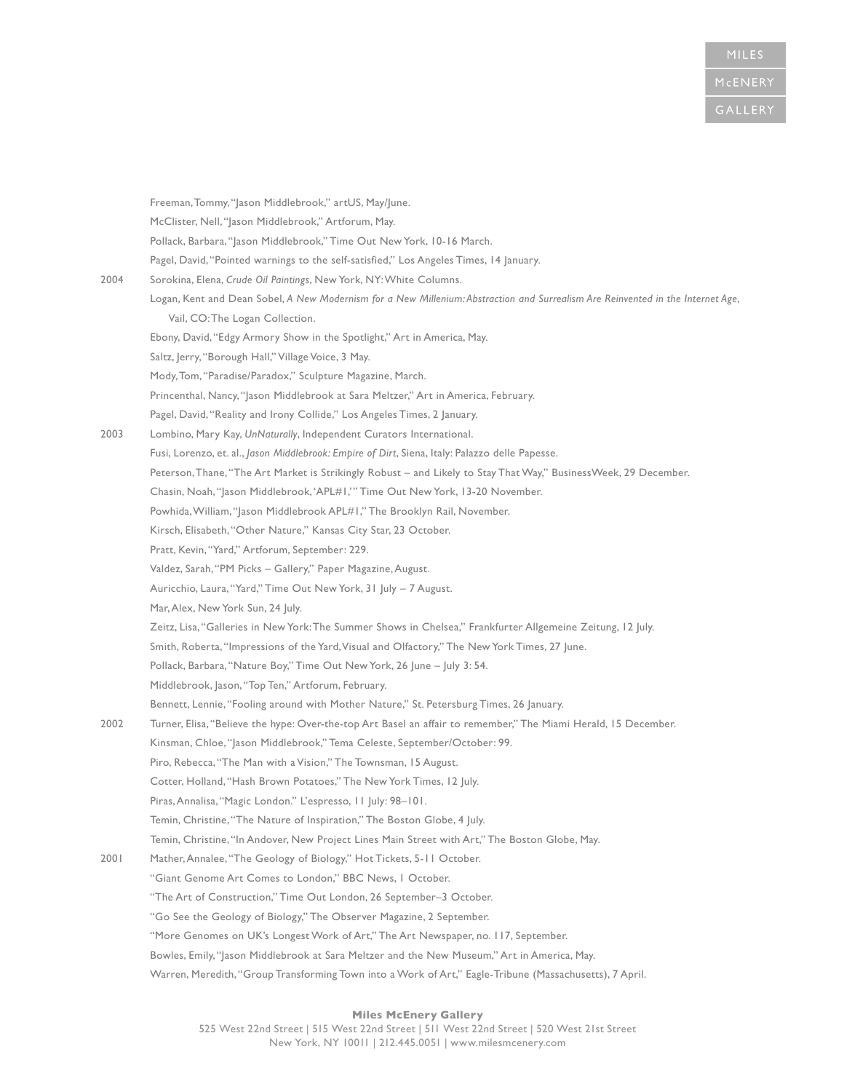|      | Freeman, Tommy, "Jason Middlebrook," artUS, May/June.                                                                           |
|------|---------------------------------------------------------------------------------------------------------------------------------|
|      | McClister, Nell, "Jason Middlebrook," Artforum, May.                                                                            |
|      | Pollack, Barbara, "Jason Middlebrook," Time Out New York, 10-16 March.                                                          |
|      | Pagel, David, "Pointed warnings to the self-satisfied," Los Angeles Times, 14 January.                                          |
| 2004 | Sorokina, Elena, Crude Oil Paintings, New York, NY: White Columns.                                                              |
|      | Logan, Kent and Dean Sobel, A New Modernism for a New Millenium: Abstraction and Surrealism Are Reinvented in the Internet Age, |
|      | Vail, CO: The Logan Collection.                                                                                                 |
|      | Ebony, David, "Edgy Armory Show in the Spotlight," Art in America, May.                                                         |
|      | Saltz, Jerry, "Borough Hall," Village Voice, 3 May.                                                                             |
|      | Mody, Tom, "Paradise/Paradox," Sculpture Magazine, March.                                                                       |
|      | Princenthal, Nancy, "Jason Middlebrook at Sara Meltzer," Art in America, February.                                              |
|      | Pagel, David, "Reality and Irony Collide," Los Angeles Times, 2 January.                                                        |
| 2003 | Lombino, Mary Kay, UnNaturally, Independent Curators International.                                                             |
|      | Fusi, Lorenzo, et. al., Jason Middlebrook: Empire of Dirt, Siena, Italy: Palazzo delle Papesse.                                 |
|      | Peterson, Thane, "The Art Market is Strikingly Robust - and Likely to Stay That Way," BusinessWeek, 29 December.                |
|      | Chasin, Noah, "Jason Middlebrook, 'APL#1,'" Time Out New York, 13-20 November.                                                  |
|      | Powhida, William, "Jason Middlebrook APL#1," The Brooklyn Rail, November.                                                       |
|      | Kirsch, Elisabeth, "Other Nature," Kansas City Star, 23 October.                                                                |
|      | Pratt, Kevin, "Yard," Artforum, September: 229.                                                                                 |
|      | Valdez, Sarah, "PM Picks - Gallery," Paper Magazine, August.                                                                    |
|      | Auricchio, Laura, "Yard," Time Out New York, 31 July - 7 August.                                                                |
|      | Mar, Alex, New York Sun, 24 July.                                                                                               |
|      | Zeitz, Lisa, "Galleries in New York: The Summer Shows in Chelsea," Frankfurter Allgemeine Zeitung, 12 July.                     |
|      | Smith, Roberta, "Impressions of the Yard, Visual and Olfactory," The New York Times, 27 June.                                   |
|      | Pollack, Barbara, "Nature Boy," Time Out New York, 26 June - July 3: 54.                                                        |
|      | Middlebrook, Jason, "Top Ten," Artforum, February.                                                                              |
|      | Bennett, Lennie, "Fooling around with Mother Nature," St. Petersburg Times, 26 January.                                         |
| 2002 | Turner, Elisa, "Believe the hype: Over-the-top Art Basel an affair to remember," The Miami Herald, 15 December.                 |
|      | Kinsman, Chloe, "Jason Middlebrook," Tema Celeste, September/October: 99.                                                       |
|      | Piro, Rebecca, "The Man with a Vision," The Townsman, 15 August.                                                                |
|      | Cotter, Holland, "Hash Brown Potatoes," The New York Times, 12 July.                                                            |
|      | Piras, Annalisa, "Magic London." L'espresso, II July: 98-101.                                                                   |
|      | Temin, Christine, "The Nature of Inspiration," The Boston Globe, 4 July.                                                        |
|      | Temin, Christine, "In Andover, New Project Lines Main Street with Art," The Boston Globe, May.                                  |
| 2001 | Mather, Annalee, "The Geology of Biology," Hot Tickets, 5-11 October.                                                           |
|      | "Giant Genome Art Comes to London," BBC News, I October.                                                                        |
|      | "The Art of Construction," Time Out London, 26 September-3 October.                                                             |
|      | "Go See the Geology of Biology," The Observer Magazine, 2 September.                                                            |
|      | "More Genomes on UK's Longest Work of Art," The Art Newspaper, no. 117, September.                                              |
|      | Bowles, Emily, "Jason Middlebrook at Sara Meltzer and the New Museum," Art in America, May.                                     |
|      | Warren, Meredith, "Group Transforming Town into a Work of Art," Eagle-Tribune (Massachusetts), 7 April.                         |
|      |                                                                                                                                 |